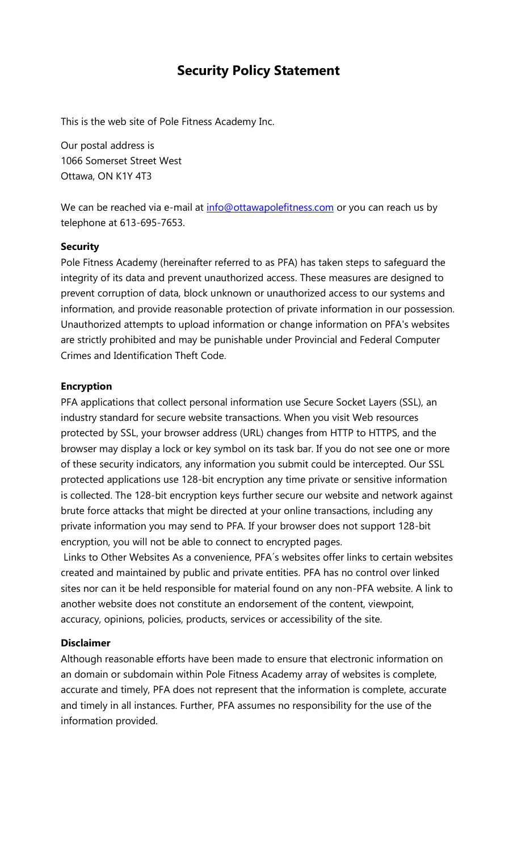# **Security Policy Statement**

This is the web site of Pole Fitness Academy Inc.

Our postal address is 1066 Somerset Street West Ottawa, ON K1Y 4T3

We can be reached via e-mail at [info@ottawapolefitness.com](mailto:info@ottawapolefitness.com) or you can reach us by telephone at 613-695-7653.

### **Security**

Pole Fitness Academy (hereinafter referred to as PFA) has taken steps to safeguard the integrity of its data and prevent unauthorized access. These measures are designed to prevent corruption of data, block unknown or unauthorized access to our systems and information, and provide reasonable protection of private information in our possession. Unauthorized attempts to upload information or change information on PFA's websites are strictly prohibited and may be punishable under Provincial and Federal Computer Crimes and Identification Theft Code.

### **Encryption**

PFA applications that collect personal information use Secure Socket Layers (SSL), an industry standard for secure website transactions. When you visit Web resources protected by SSL, your browser address (URL) changes from HTTP to HTTPS, and the browser may display a lock or key symbol on its task bar. If you do not see one or more of these security indicators, any information you submit could be intercepted. Our SSL protected applications use 128-bit encryption any time private or sensitive information is collected. The 128-bit encryption keys further secure our website and network against brute force attacks that might be directed at your online transactions, including any private information you may send to PFA. If your browser does not support 128-bit encryption, you will not be able to connect to encrypted pages.

Links to Other Websites As a convenience, PFA´s websites offer links to certain websites created and maintained by public and private entities. PFA has no control over linked sites nor can it be held responsible for material found on any non-PFA website. A link to another website does not constitute an endorsement of the content, viewpoint, accuracy, opinions, policies, products, services or accessibility of the site.

### **Disclaimer**

Although reasonable efforts have been made to ensure that electronic information on an domain or subdomain within Pole Fitness Academy array of websites is complete, accurate and timely, PFA does not represent that the information is complete, accurate and timely in all instances. Further, PFA assumes no responsibility for the use of the information provided.